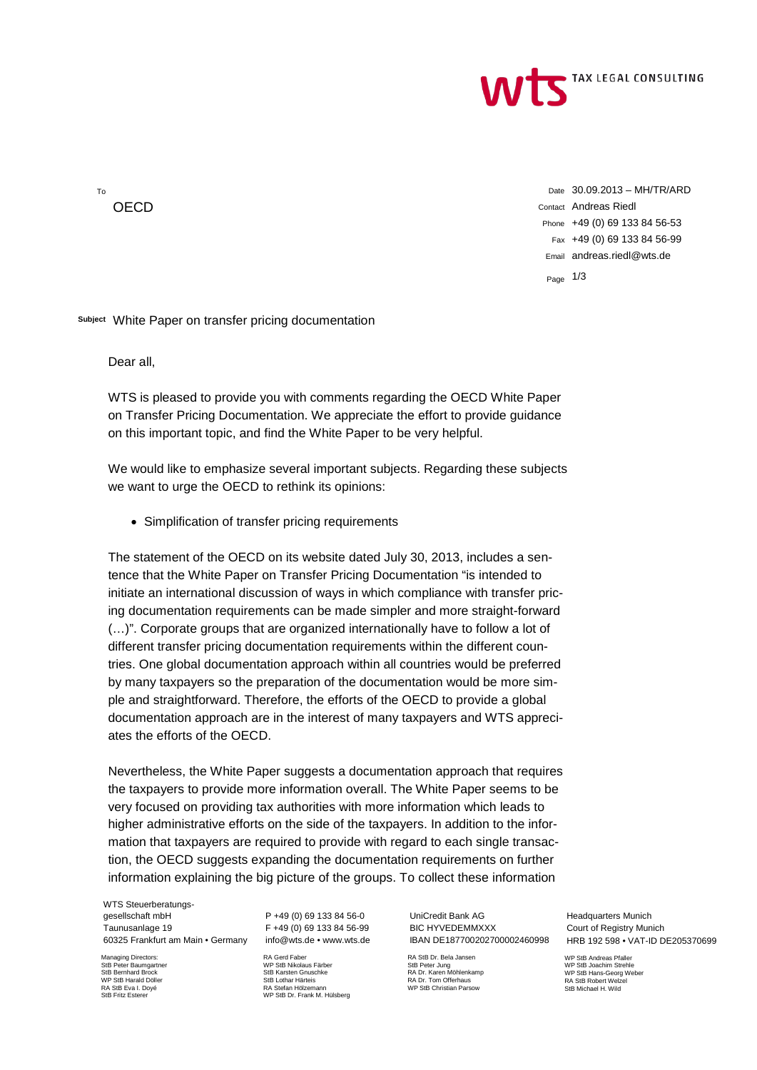

To **OECD** 

Date 30.09.2013 – MH/TR/ARD Contact Andreas Riedl Phone +49 (0) 69 133 84 56-53 Fax +49 (0) 69 133 84 56-99 Email andreas.riedl@wts.de

Page 1/3

**Subject** White Paper on transfer pricing documentation

Dear all,

WTS is pleased to provide you with comments regarding the OECD White Paper on Transfer Pricing Documentation. We appreciate the effort to provide guidance on this important topic, and find the White Paper to be very helpful.

We would like to emphasize several important subjects. Regarding these subjects we want to urge the OECD to rethink its opinions:

• Simplification of transfer pricing requirements

The statement of the OECD on its website dated July 30, 2013, includes a sentence that the White Paper on Transfer Pricing Documentation "is intended to initiate an international discussion of ways in which compliance with transfer pricing documentation requirements can be made simpler and more straight-forward (…)". Corporate groups that are organized internationally have to follow a lot of different transfer pricing documentation requirements within the different countries. One global documentation approach within all countries would be preferred by many taxpayers so the preparation of the documentation would be more simple and straightforward. Therefore, the efforts of the OECD to provide a global documentation approach are in the interest of many taxpayers and WTS appreciates the efforts of the OECD.

Nevertheless, the White Paper suggests a documentation approach that requires the taxpayers to provide more information overall. The White Paper seems to be very focused on providing tax authorities with more information which leads to higher administrative efforts on the side of the taxpayers. In addition to the information that taxpayers are required to provide with regard to each single transaction, the OECD suggests expanding the documentation requirements on further information explaining the big picture of the groups. To collect these information

WTS Steuerberatungsgesellschaft mbH Taunusanlage 19 60325 Frankfurt am Main • Germany

Managing Directors: StB Peter Baumgartner StB Bernhard Brock WD StB Harald Digity RA StB Eva I. Doyé StB Fritz Esterer

P +49 (0) 69 133 84 56-0 F +49 (0) 69 133 84 56-99 info@wts.de • www.wts.de

RA Gerd Faber WP StB Nikolaus Färber StB Karsten Gnuschke StB Lothar Härteis RA Stefan Hölzemann WP StB Dr. Frank M. Hülsberg

UniCredit Bank AG BIC HYVEDEMMXXX IBAN DE187700202700002460998

RA StB Dr. Bela Jansen StB Peter Jung RA Dr. Karen Möhlenkamp RA Dr. Tom Offerhaus WP StB Christian Parsow

Headquarters Munich Court of Registry Munich HRB 192 598 • VAT-ID DE205370699

WP StB Andreas Pfaller WP StB Joachim Strehle WP StB Hans-Georg Weber RA StB Robert Welzel StB Michael H. Wild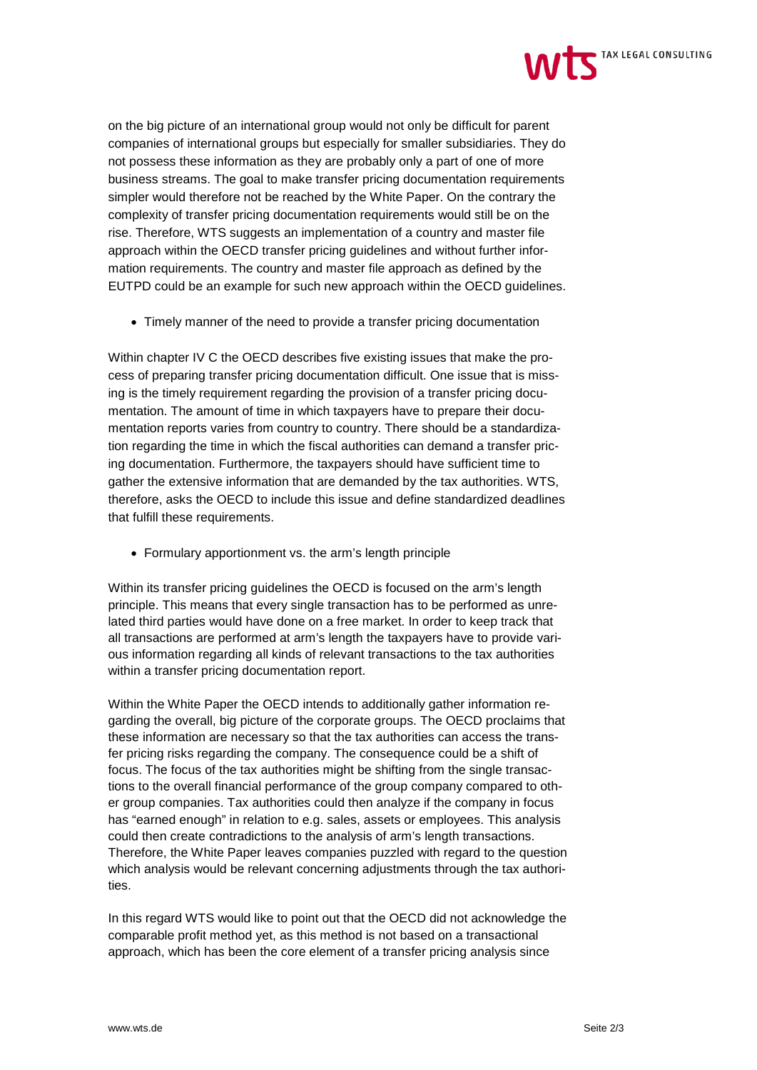

on the big picture of an international group would not only be difficult for parent companies of international groups but especially for smaller subsidiaries. They do not possess these information as they are probably only a part of one of more business streams. The goal to make transfer pricing documentation requirements simpler would therefore not be reached by the White Paper. On the contrary the complexity of transfer pricing documentation requirements would still be on the rise. Therefore, WTS suggests an implementation of a country and master file approach within the OECD transfer pricing guidelines and without further information requirements. The country and master file approach as defined by the EUTPD could be an example for such new approach within the OECD guidelines.

• Timely manner of the need to provide a transfer pricing documentation

Within chapter IV C the OECD describes five existing issues that make the process of preparing transfer pricing documentation difficult. One issue that is missing is the timely requirement regarding the provision of a transfer pricing documentation. The amount of time in which taxpayers have to prepare their documentation reports varies from country to country. There should be a standardization regarding the time in which the fiscal authorities can demand a transfer pricing documentation. Furthermore, the taxpayers should have sufficient time to gather the extensive information that are demanded by the tax authorities. WTS, therefore, asks the OECD to include this issue and define standardized deadlines that fulfill these requirements.

• Formulary apportionment vs. the arm's length principle

Within its transfer pricing guidelines the OECD is focused on the arm's length principle. This means that every single transaction has to be performed as unrelated third parties would have done on a free market. In order to keep track that all transactions are performed at arm's length the taxpayers have to provide various information regarding all kinds of relevant transactions to the tax authorities within a transfer pricing documentation report.

Within the White Paper the OECD intends to additionally gather information regarding the overall, big picture of the corporate groups. The OECD proclaims that these information are necessary so that the tax authorities can access the transfer pricing risks regarding the company. The consequence could be a shift of focus. The focus of the tax authorities might be shifting from the single transactions to the overall financial performance of the group company compared to other group companies. Tax authorities could then analyze if the company in focus has "earned enough" in relation to e.g. sales, assets or employees. This analysis could then create contradictions to the analysis of arm's length transactions. Therefore, the White Paper leaves companies puzzled with regard to the question which analysis would be relevant concerning adjustments through the tax authorities.

In this regard WTS would like to point out that the OECD did not acknowledge the comparable profit method yet, as this method is not based on a transactional approach, which has been the core element of a transfer pricing analysis since